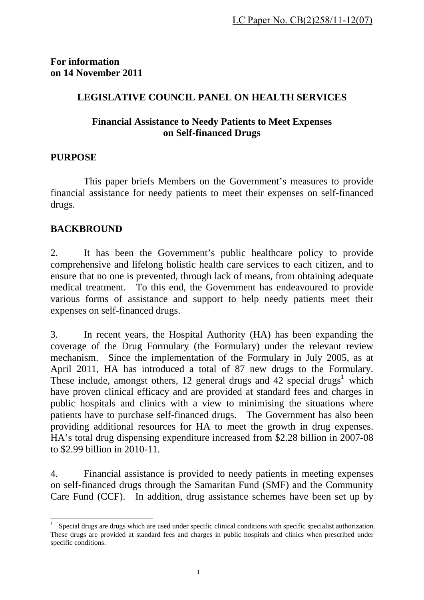**For information on 14 November 2011** 

# **LEGISLATIVE COUNCIL PANEL ON HEALTH SERVICES**

## **Financial Assistance to Needy Patients to Meet Expenses on Self-financed Drugs**

## **PURPOSE**

 This paper briefs Members on the Government's measures to provide financial assistance for needy patients to meet their expenses on self-financed drugs.

## **BACKBROUND**

1

2. It has been the Government's public healthcare policy to provide comprehensive and lifelong holistic health care services to each citizen, and to ensure that no one is prevented, through lack of means, from obtaining adequate medical treatment. To this end, the Government has endeavoured to provide various forms of assistance and support to help needy patients meet their expenses on self-financed drugs.

3. In recent years, the Hospital Authority (HA) has been expanding the coverage of the Drug Formulary (the Formulary) under the relevant review mechanism. Since the implementation of the Formulary in July 2005, as at April 2011, HA has introduced a total of 87 new drugs to the Formulary. These include, amongst others, 12 general drugs and  $42$  special drugs<sup>1</sup> which have proven clinical efficacy and are provided at standard fees and charges in public hospitals and clinics with a view to minimising the situations where patients have to purchase self-financed drugs. The Government has also been providing additional resources for HA to meet the growth in drug expenses. HA's total drug dispensing expenditure increased from \$2.28 billion in 2007-08 to \$2.99 billion in 2010-11.

4. Financial assistance is provided to needy patients in meeting expenses on self-financed drugs through the Samaritan Fund (SMF) and the Community Care Fund (CCF). In addition, drug assistance schemes have been set up by

<sup>1</sup> Special drugs are drugs which are used under specific clinical conditions with specific specialist authorization. These drugs are provided at standard fees and charges in public hospitals and clinics when prescribed under specific conditions.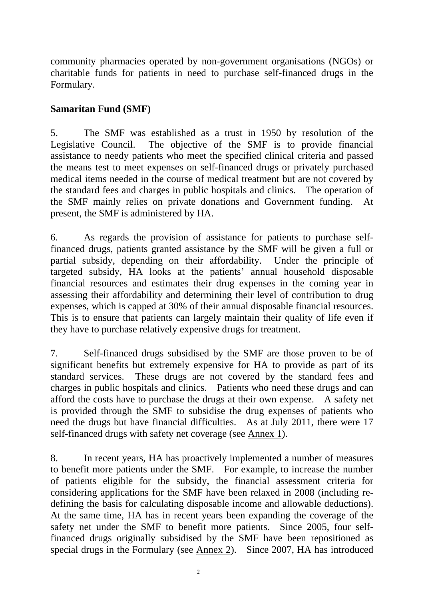community pharmacies operated by non-government organisations (NGOs) or charitable funds for patients in need to purchase self-financed drugs in the Formulary.

## **Samaritan Fund (SMF)**

5. The SMF was established as a trust in 1950 by resolution of the Legislative Council. The objective of the SMF is to provide financial assistance to needy patients who meet the specified clinical criteria and passed the means test to meet expenses on self-financed drugs or privately purchased medical items needed in the course of medical treatment but are not covered by the standard fees and charges in public hospitals and clinics. The operation of the SMF mainly relies on private donations and Government funding. At present, the SMF is administered by HA.

6. As regards the provision of assistance for patients to purchase selffinanced drugs, patients granted assistance by the SMF will be given a full or partial subsidy, depending on their affordability. Under the principle of targeted subsidy, HA looks at the patients' annual household disposable financial resources and estimates their drug expenses in the coming year in assessing their affordability and determining their level of contribution to drug expenses, which is capped at 30% of their annual disposable financial resources. This is to ensure that patients can largely maintain their quality of life even if they have to purchase relatively expensive drugs for treatment.

7. Self-financed drugs subsidised by the SMF are those proven to be of significant benefits but extremely expensive for HA to provide as part of its standard services. These drugs are not covered by the standard fees and charges in public hospitals and clinics. Patients who need these drugs and can afford the costs have to purchase the drugs at their own expense. A safety net is provided through the SMF to subsidise the drug expenses of patients who need the drugs but have financial difficulties. As at July 2011, there were 17 self-financed drugs with safety net coverage (see Annex 1).

8. In recent years, HA has proactively implemented a number of measures to benefit more patients under the SMF. For example, to increase the number of patients eligible for the subsidy, the financial assessment criteria for considering applications for the SMF have been relaxed in 2008 (including redefining the basis for calculating disposable income and allowable deductions). At the same time, HA has in recent years been expanding the coverage of the safety net under the SMF to benefit more patients. Since 2005, four selffinanced drugs originally subsidised by the SMF have been repositioned as special drugs in the Formulary (see Annex 2). Since 2007, HA has introduced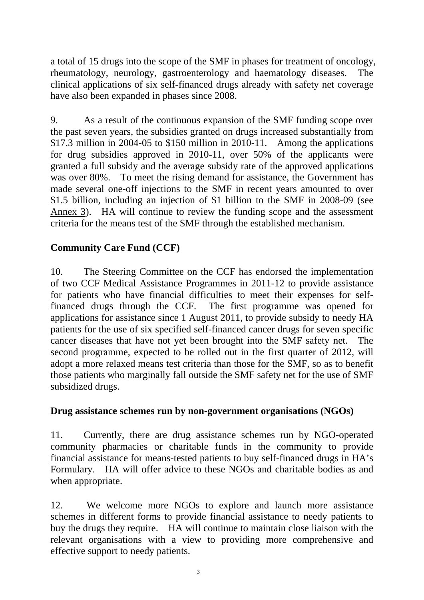a total of 15 drugs into the scope of the SMF in phases for treatment of oncology, rheumatology, neurology, gastroenterology and haematology diseases. The clinical applications of six self-financed drugs already with safety net coverage have also been expanded in phases since 2008.

9. As a result of the continuous expansion of the SMF funding scope over the past seven years, the subsidies granted on drugs increased substantially from \$17.3 million in 2004-05 to \$150 million in 2010-11. Among the applications for drug subsidies approved in 2010-11, over 50% of the applicants were granted a full subsidy and the average subsidy rate of the approved applications was over 80%. To meet the rising demand for assistance, the Government has made several one-off injections to the SMF in recent years amounted to over \$1.5 billion, including an injection of \$1 billion to the SMF in 2008-09 (see Annex 3). HA will continue to review the funding scope and the assessment criteria for the means test of the SMF through the established mechanism.

# **Community Care Fund (CCF)**

10. The Steering Committee on the CCF has endorsed the implementation of two CCF Medical Assistance Programmes in 2011-12 to provide assistance for patients who have financial difficulties to meet their expenses for selffinanced drugs through the CCF. The first programme was opened for applications for assistance since 1 August 2011, to provide subsidy to needy HA patients for the use of six specified self-financed cancer drugs for seven specific cancer diseases that have not yet been brought into the SMF safety net. The second programme, expected to be rolled out in the first quarter of 2012, will adopt a more relaxed means test criteria than those for the SMF, so as to benefit those patients who marginally fall outside the SMF safety net for the use of SMF subsidized drugs.

#### **Drug assistance schemes run by non-government organisations (NGOs)**

11. Currently, there are drug assistance schemes run by NGO-operated community pharmacies or charitable funds in the community to provide financial assistance for means-tested patients to buy self-financed drugs in HA's Formulary. HA will offer advice to these NGOs and charitable bodies as and when appropriate.

12. We welcome more NGOs to explore and launch more assistance schemes in different forms to provide financial assistance to needy patients to buy the drugs they require. HA will continue to maintain close liaison with the relevant organisations with a view to providing more comprehensive and effective support to needy patients.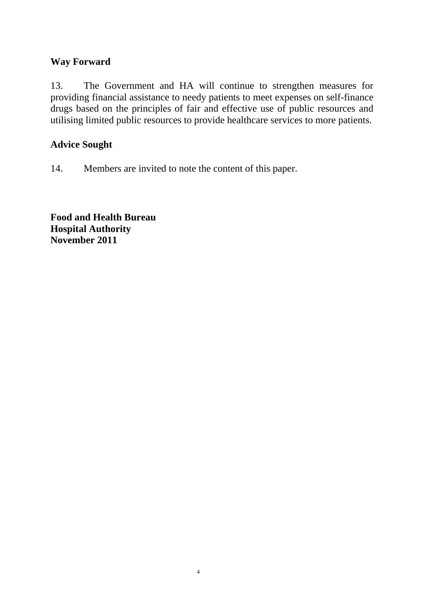## **Way Forward**

13. The Government and HA will continue to strengthen measures for providing financial assistance to needy patients to meet expenses on self-finance drugs based on the principles of fair and effective use of public resources and utilising limited public resources to provide healthcare services to more patients.

### **Advice Sought**

14. Members are invited to note the content of this paper.

**Food and Health Bureau Hospital Authority November 2011**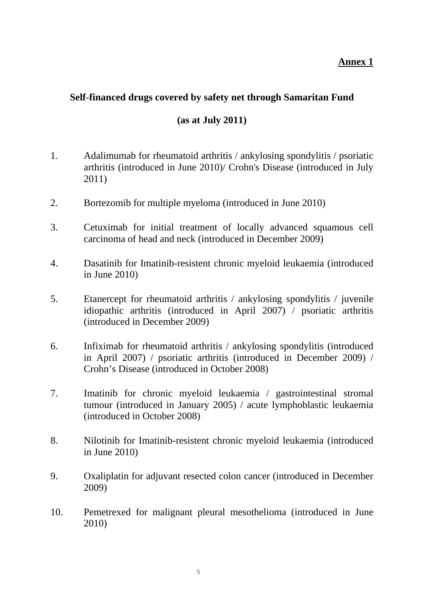#### **Annex 1**

## **Self-financed drugs covered by safety net through Samaritan Fund**

#### **(as at July 2011)**

- 1. Adalimumab for rheumatoid arthritis / ankylosing spondylitis / psoriatic arthritis (introduced in June 2010)/ Crohn's Disease (introduced in July 2011)
- 2. Bortezomib for multiple myeloma (introduced in June 2010)
- 3. Cetuximab for initial treatment of locally advanced squamous cell carcinoma of head and neck (introduced in December 2009)
- 4. Dasatinib for Imatinib-resistent chronic myeloid leukaemia (introduced in June 2010)
- 5. Etanercept for rheumatoid arthritis / ankylosing spondylitis / juvenile idiopathic arthritis (introduced in April 2007) / psoriatic arthritis (introduced in December 2009)
- 6. Infiximab for rheumatoid arthritis / ankylosing spondylitis (introduced in April 2007) / psoriatic arthritis (introduced in December 2009) / Crohn's Disease (introduced in October 2008)
- 7. Imatinib for chronic myeloid leukaemia / gastrointestinal stromal tumour (introduced in January 2005) / acute lymphoblastic leukaemia (introduced in October 2008)
- 8. Nilotinib for Imatinib-resistent chronic myeloid leukaemia (introduced in June 2010)
- 9. Oxaliplatin for adjuvant resected colon cancer (introduced in December 2009)
- 10. Pemetrexed for malignant pleural mesothelioma (introduced in June 2010)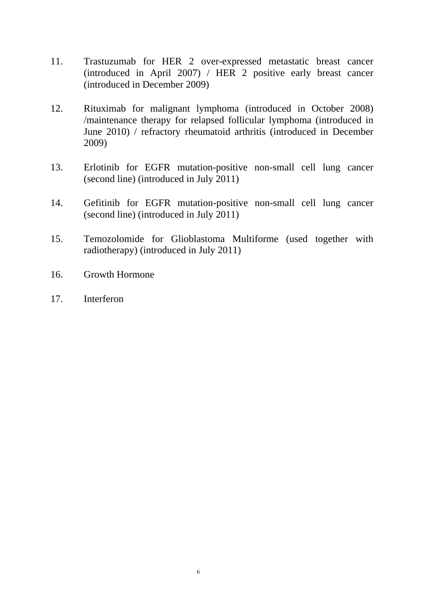- 11. Trastuzumab for HER 2 over-expressed metastatic breast cancer (introduced in April 2007) / HER 2 positive early breast cancer (introduced in December 2009)
- 12. Rituximab for malignant lymphoma (introduced in October 2008) /maintenance therapy for relapsed follicular lymphoma (introduced in June 2010) / refractory rheumatoid arthritis (introduced in December 2009)
- 13. Erlotinib for EGFR mutation-positive non-small cell lung cancer (second line) (introduced in July 2011)
- 14. Gefitinib for EGFR mutation-positive non-small cell lung cancer (second line) (introduced in July 2011)
- 15. Temozolomide for Glioblastoma Multiforme (used together with radiotherapy) (introduced in July 2011)
- 16. Growth Hormone
- 17. Interferon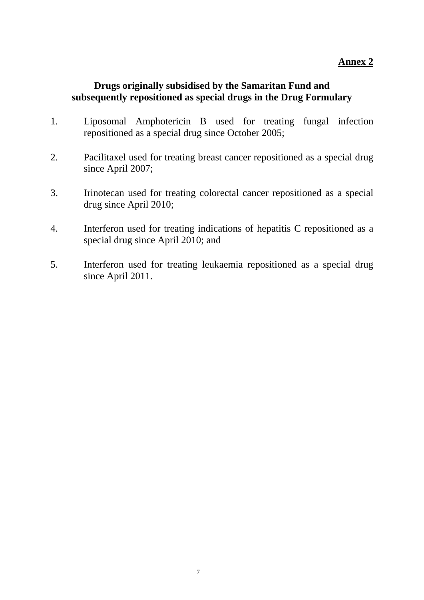#### **Annex 2**

### **Drugs originally subsidised by the Samaritan Fund and subsequently repositioned as special drugs in the Drug Formulary**

- 1. Liposomal Amphotericin B used for treating fungal infection repositioned as a special drug since October 2005;
- 2. Pacilitaxel used for treating breast cancer repositioned as a special drug since April 2007;
- 3. Irinotecan used for treating colorectal cancer repositioned as a special drug since April 2010;
- 4. Interferon used for treating indications of hepatitis C repositioned as a special drug since April 2010; and
- 5. Interferon used for treating leukaemia repositioned as a special drug since April 2011.